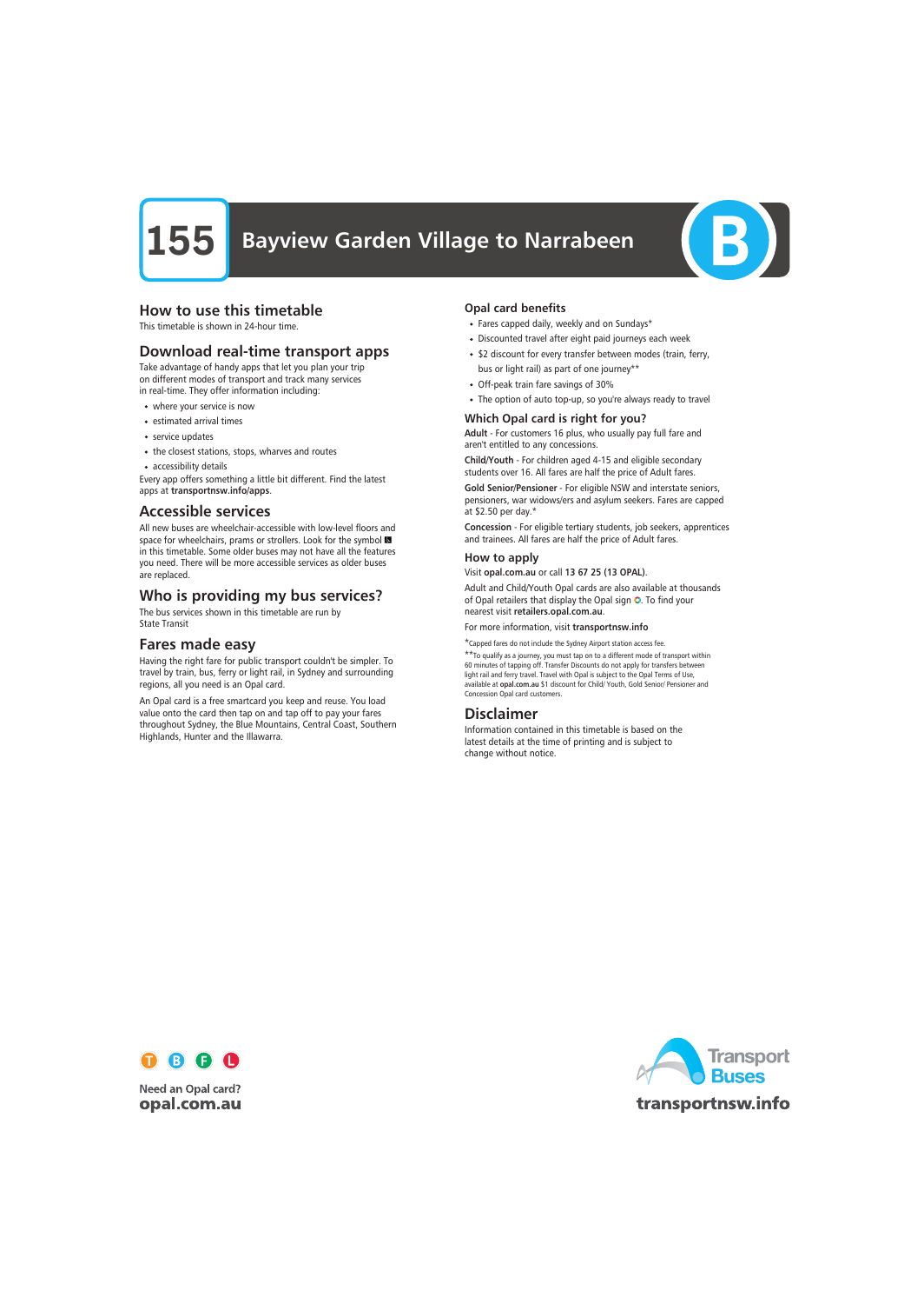# **155** Bayview Garden Village to Narrabeen



# How to use this timetable

This timetable is shown in 24-hour time.

# Download real-time transport apps

Take advantage of handy apps that let you plan your trip on different modes of transport and track many services in real-time. They offer information including:

- where your service is now
- estimated arrival times
- service updates
- the closest stations, stops, wharves and routes
- accessibility details

Every app offers something a little bit different. Find the latest apps at transportnsw.info/apps.

### Accessible services

All new buses are wheelchair-accessible with low-level floors and space for wheelchairs, prams or strollers. Look for the symbol in this timetable. Some older buses may not have all the features you need. There will be more accessible services as older buses are replaced.

# Who is providing my bus services?

The bus services shown in this timetable are run by State Transit

# Fares made easy

Having the right fare for public transport couldn't be simpler. To travel by train, bus, ferry or light rail, in Sydney and surrounding regions, all you need is an Opal card.

An Opal card is a free smartcard you keep and reuse. You load value onto the card then tap on and tap off to pay your fares throughout Sydney, the Blue Mountains, Central Coast, Southern Highlands, Hunter and the Illawarra.

### Opal card benefits

- Fares capped daily, weekly and on Sundays\*
- Discounted travel after eight paid journeys each week
- \$2 discount for every transfer between modes (train, ferry, bus or light rail) as part of one journey\*\*
- Off-peak train fare savings of 30%
- The option of auto top-up, so you're always ready to travel

### Which Opal card is right for you?

Adult - For customers 16 plus, who usually pay full fare and aren't entitled to any concessions.

Child/Youth - For children aged 4-15 and eligible secondary students over 16. All fares are half the price of Adult fares.

Gold Senior/Pensioner - For eligible NSW and interstate seniors, pensioners, war widows/ers and asylum seekers. Fares are capped at \$2.50 per day.\*

Concession - For eligible tertiary students, job seekers, apprentices and trainees. All fares are half the price of Adult fares.

### How to apply

Visit opal.com.au or call 13 67 25 (13 OPAL).

Adult and Child/Youth Opal cards are also available at thousands of Opal retailers that display the Opal sign  $\bullet$ . To find your nearest visit retailers.opal.com.au.

For more information, visit transportnsw.info

\*Capped fares do not include the Sydney Airport station access fee.

\*\*To qualify as a journey, you must tap on to a different mode of transport within 60 minutes of tapping off. Transfer Discounts do not apply for transfers between light rail and ferry travel. Travel with Opal is subject to the Opal Terms of Use, available at opal.com.au \$1 discount for Child/ Youth, Gold Senior/ Pensioner and Concession Opal card customers.

# Disclaimer

Information contained in this timetable is based on the latest details at the time of printing and is subject to change without notice.



**Need an Opal card?** opal.com.au

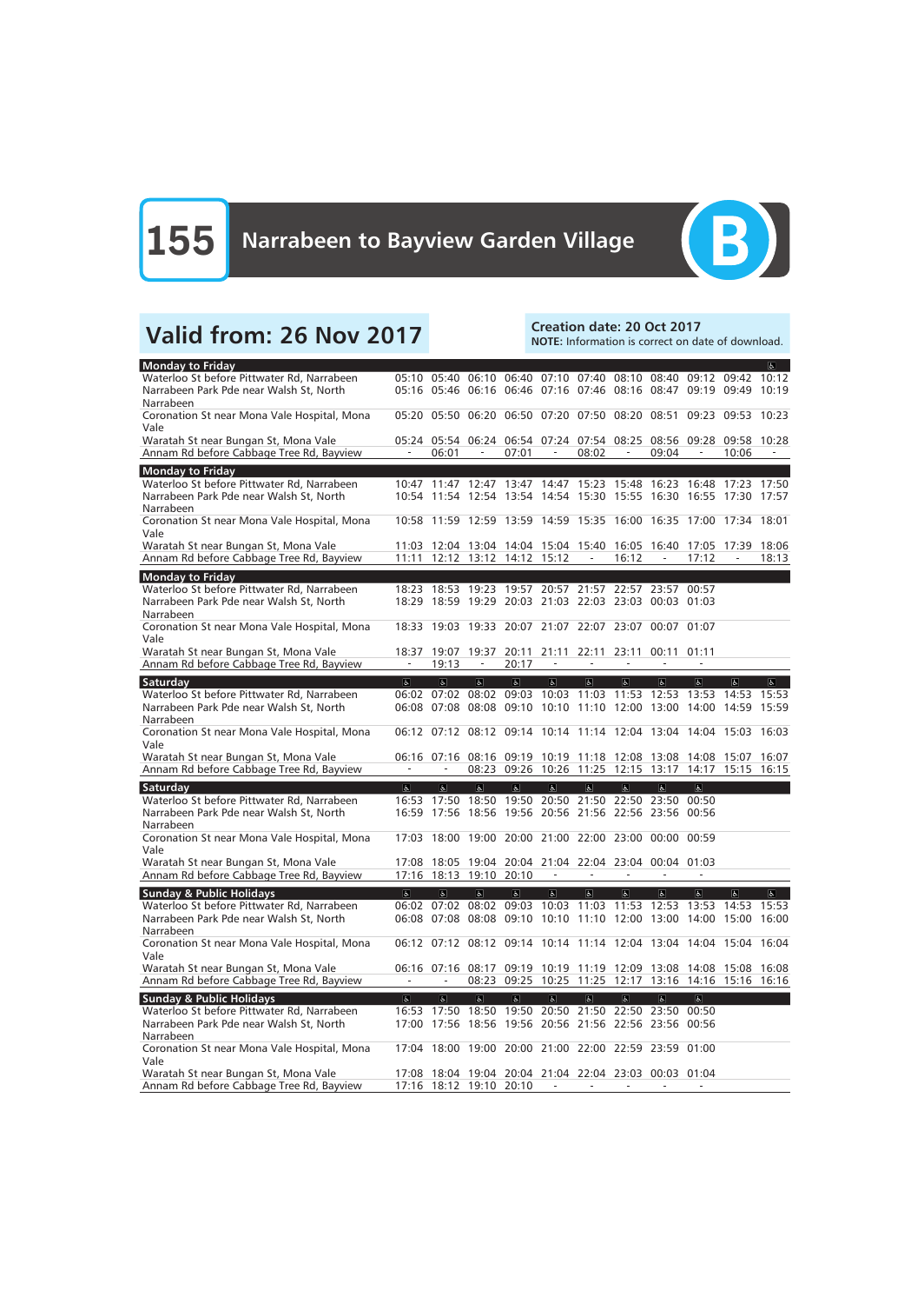

# Valid from: 26 Nov 2017<br>Note: Information is correct on da

NOTE: Information is correct on date of download.

| <b>Monday to Friday</b>                                                               |                          |                          |                          |                                                       |                                                       |                |                          |                          |                         |                                                                   | $\overline{a}$          |
|---------------------------------------------------------------------------------------|--------------------------|--------------------------|--------------------------|-------------------------------------------------------|-------------------------------------------------------|----------------|--------------------------|--------------------------|-------------------------|-------------------------------------------------------------------|-------------------------|
| Waterloo St before Pittwater Rd, Narrabeen                                            |                          |                          |                          |                                                       |                                                       |                |                          |                          |                         | 05:10 05:40 06:10 06:40 07:10 07:40 08:10 08:40 09:12 09:42       | 10:12                   |
| Narrabeen Park Pde near Walsh St, North                                               |                          |                          |                          |                                                       | 05:16 05:46 06:16 06:46 07:16 07:46 08:16             |                |                          |                          | 08:47 09:19 09:49       |                                                                   | 10:19                   |
| Narrabeen                                                                             |                          |                          |                          |                                                       |                                                       |                |                          |                          |                         |                                                                   |                         |
| Coronation St near Mona Vale Hospital, Mona                                           |                          |                          |                          |                                                       | 05:20 05:50 06:20 06:50 07:20 07:50 08:20             |                |                          | 08:51                    | 09:23                   | 09:53 10:23                                                       |                         |
| Vale                                                                                  |                          |                          |                          |                                                       |                                                       |                |                          |                          |                         |                                                                   |                         |
| Waratah St near Bungan St, Mona Vale                                                  | $\frac{1}{2}$            |                          | $\overline{\phantom{0}}$ |                                                       |                                                       |                | $\overline{\phantom{0}}$ |                          |                         | 05:24 05:54 06:24 06:54 07:24 07:54 08:25 08:56 09:28 09:58 10:28 |                         |
| Annam Rd before Cabbage Tree Rd, Bayview                                              |                          | 06:01                    |                          | 07:01                                                 |                                                       | 08:02          |                          | 09:04                    |                         | 10:06                                                             |                         |
| <b>Monday to Friday</b>                                                               |                          |                          |                          |                                                       |                                                       |                |                          |                          |                         |                                                                   |                         |
| Waterloo St before Pittwater Rd, Narrabeen                                            |                          |                          |                          |                                                       | 10:47 11:47 12:47 13:47 14:47 15:23 15:48 16:23       |                |                          |                          | 16:48                   | 17:23 17:50                                                       |                         |
| Narrabeen Park Pde near Walsh St, North                                               |                          |                          |                          |                                                       | 10:54 11:54 12:54 13:54 14:54 15:30 15:55 16:30       |                |                          |                          | 16:55                   | 17:30 17:57                                                       |                         |
| Narrabeen                                                                             |                          |                          |                          |                                                       |                                                       |                |                          |                          |                         |                                                                   |                         |
| Coronation St near Mona Vale Hospital, Mona                                           | 10:58                    |                          |                          |                                                       | 11:59 12:59 13:59 14:59 15:35 16:00 16:35 17:00       |                |                          |                          |                         | 17:34 18:01                                                       |                         |
| Vale                                                                                  |                          |                          |                          |                                                       |                                                       |                |                          |                          |                         |                                                                   |                         |
| Waratah St near Bungan St, Mona Vale<br>Annam Rd before Cabbage Tree Rd, Bayview      | 11:11                    |                          |                          | 12:12 13:12 14:12 15:12                               | 11:03 12:04 13:04 14:04 15:04 15:40 16:05 16:40       |                | 16:12                    | $\overline{\phantom{a}}$ | 17:05 17:39<br>17:12    |                                                                   | 18:06<br>18:13          |
|                                                                                       |                          |                          |                          |                                                       |                                                       |                |                          |                          |                         |                                                                   |                         |
| <b>Monday to Friday</b>                                                               |                          |                          |                          |                                                       |                                                       |                |                          |                          |                         |                                                                   |                         |
| Waterloo St before Pittwater Rd, Narrabeen                                            |                          |                          |                          |                                                       | 18:23 18:53 19:23 19:57 20:57 21:57 22:57 23:57 00:57 |                |                          |                          |                         |                                                                   |                         |
| Narrabeen Park Pde near Walsh St, North                                               |                          |                          |                          |                                                       | 18:29 18:59 19:29 20:03 21:03 22:03 23:03 00:03 01:03 |                |                          |                          |                         |                                                                   |                         |
| Narrabeen                                                                             |                          |                          |                          |                                                       |                                                       |                |                          |                          |                         |                                                                   |                         |
| Coronation St near Mona Vale Hospital, Mona<br>Vale                                   | 18:33                    |                          |                          |                                                       | 19:03 19:33 20:07 21:07 22:07 23:07                   |                |                          | 00:07 01:07              |                         |                                                                   |                         |
| Waratah St near Bungan St, Mona Vale                                                  | 18:37                    | 19:07                    | 19:37                    | 20:11                                                 | 21:11                                                 | 22:11          | 23:11                    | 00:11 01:11              |                         |                                                                   |                         |
| Annam Rd before Cabbage Tree Rd, Bayview                                              | $\overline{\phantom{a}}$ | 19:13                    | $\overline{\phantom{a}}$ | 20:17                                                 | $\overline{\phantom{a}}$                              |                | $\overline{\phantom{a}}$ | $\overline{\phantom{a}}$ |                         |                                                                   |                         |
|                                                                                       |                          |                          |                          |                                                       |                                                       |                |                          |                          |                         |                                                                   |                         |
| Saturday                                                                              | $\overline{\mathbf{g}}$  | $\overline{6}$           | $\overline{\mathbf{r}}$  | $\overline{\alpha}$                                   | $\overline{6}$<br>09:03 10:03                         | $\overline{6}$ | $\overline{6}$           | $\overline{\mathbf{c}}$  | $\overline{\mathbf{c}}$ | $\overline{a}$                                                    | $\overline{\mathbf{r}}$ |
| Waterloo St before Pittwater Rd, Narrabeen<br>Narrabeen Park Pde near Walsh St, North |                          | 06:02 07:02              | 08:02                    |                                                       | 06:08 07:08 08:08 09:10 10:10 11:10 12:00 13:00       | 11:03          | 11:53                    | 12:53                    | 13:53<br>14:00          | 14:53<br>14:59                                                    | 15:53<br>15:59          |
| Narrabeen                                                                             |                          |                          |                          |                                                       |                                                       |                |                          |                          |                         |                                                                   |                         |
| Coronation St near Mona Vale Hospital, Mona                                           |                          |                          |                          |                                                       | 06:12 07:12 08:12 09:14 10:14 11:14 12:04 13:04       |                |                          |                          |                         | 14:04 15:03 16:03                                                 |                         |
| Vale                                                                                  |                          |                          |                          |                                                       |                                                       |                |                          |                          |                         |                                                                   |                         |
| Waratah St near Bungan St, Mona Vale                                                  |                          | 06:16 07:16              |                          |                                                       | 08:16 09:19 10:19 11:18 12:08 13:08                   |                |                          |                          | 14:08                   | 15:07                                                             | 16:07                   |
| Annam Rd before Cabbage Tree Rd, Bayview                                              | $\sim$                   | $\overline{\phantom{a}}$ |                          |                                                       | 08:23 09:26 10:26 11:25 12:15 13:17                   |                |                          |                          |                         | 14:17 15:15                                                       | 16:15                   |
| Saturday                                                                              | $\overline{a}$           | $\overline{a}$           | $\overline{a}$           | $\overline{a}$                                        | $\overline{d}$                                        | $\overline{6}$ | $\overline{6}$           | $\overline{a}$           | $\overline{a}$          |                                                                   |                         |
| Waterloo St before Pittwater Rd, Narrabeen                                            | 16:53                    | 17:50                    | 18:50                    |                                                       | 19:50 20:50 21:50                                     |                | 22:50 23:50              |                          | 00:50                   |                                                                   |                         |
| Narrabeen Park Pde near Walsh St, North                                               |                          | 16:59 17:56              |                          |                                                       | 18:56 19:56 20:56 21:56 22:56 23:56 00:56             |                |                          |                          |                         |                                                                   |                         |
| Narrabeen                                                                             |                          |                          |                          |                                                       |                                                       |                |                          |                          |                         |                                                                   |                         |
| Coronation St near Mona Vale Hospital, Mona                                           |                          |                          |                          |                                                       | 17:03 18:00 19:00 20:00 21:00 22:00 23:00 00:00 00:59 |                |                          |                          |                         |                                                                   |                         |
| Vale                                                                                  |                          |                          |                          |                                                       |                                                       |                |                          |                          |                         |                                                                   |                         |
| Waratah St near Bungan St, Mona Vale                                                  |                          |                          |                          |                                                       | 17:08 18:05 19:04 20:04 21:04 22:04 23:04 00:04 01:03 |                |                          |                          |                         |                                                                   |                         |
| Annam Rd before Cabbage Tree Rd, Bayview                                              |                          |                          | 17:16 18:13 19:10 20:10  |                                                       |                                                       |                |                          |                          |                         |                                                                   |                         |
| <b>Sunday &amp; Public Holidays</b>                                                   | $\sigma$                 | $\Delta$                 | $\vert \mathbf{F} \vert$ | $\vert \mathbf{F} \vert$                              | $\mathbb{P}$                                          | $\mathbb{P}$   | $\mathbf{P}$             | $\sigma$                 | $\boxed{\varphi}$       | $\mathbf{P}$                                                      | G.                      |
| Waterloo St before Pittwater Rd, Narrabeen                                            |                          | 06:02 07:02              |                          |                                                       | 08:02 09:03 10:03                                     |                | 11:03 11:53              | 12:53                    | 13:53                   | 14:53 15:53                                                       |                         |
| Narrabeen Park Pde near Walsh St, North                                               |                          | 06:08 07:08              |                          | 08:08 09:10 10:10                                     |                                                       |                | 11:10 12:00              | 13:00                    | 14:00                   | 15:00 16:00                                                       |                         |
| Narrabeen                                                                             |                          |                          |                          |                                                       |                                                       |                |                          |                          |                         |                                                                   |                         |
| Coronation St near Mona Vale Hospital, Mona                                           |                          |                          |                          |                                                       |                                                       |                |                          |                          |                         | 06:12 07:12 08:12 09:14 10:14 11:14 12:04 13:04 14:04 15:04 16:04 |                         |
| Vale                                                                                  |                          |                          |                          |                                                       |                                                       |                |                          |                          |                         |                                                                   |                         |
| Waratah St near Bungan St, Mona Vale                                                  |                          |                          |                          |                                                       |                                                       |                |                          |                          |                         | 06:16 07:16 08:17 09:19 10:19 11:19 12:09 13:08 14:08 15:08 16:08 |                         |
| Annam Rd before Cabbage Tree Rd, Bayview                                              |                          |                          | 08:23                    |                                                       | 09:25 10:25 11:25                                     |                | 12:17                    | 13:16                    |                         | 14:16 15:16 16:16                                                 |                         |
| <b>Sunday &amp; Public Holidays</b>                                                   | $\sigma$                 | $\sigma$                 | $\vert \mathbf{F} \vert$ | d                                                     | $\mathbb{P}$                                          | $\mathbf{P}$   | $\mathbb{P}$             | $\sigma$                 | $\Delta$                |                                                                   |                         |
| Waterloo St before Pittwater Rd, Narrabeen                                            |                          | 16:53 17:50              |                          |                                                       | 18:50 19:50 20:50 21:50 22:50 23:50                   |                |                          |                          | 00:50                   |                                                                   |                         |
| Narrabeen Park Pde near Walsh St, North                                               |                          |                          |                          | 17:00 17:56 18:56 19:56 20:56 21:56 22:56 23:56 00:56 |                                                       |                |                          |                          |                         |                                                                   |                         |
|                                                                                       |                          |                          |                          |                                                       |                                                       |                |                          |                          |                         |                                                                   |                         |
| Narrabeen                                                                             |                          |                          |                          |                                                       |                                                       |                |                          |                          |                         |                                                                   |                         |
| Coronation St near Mona Vale Hospital, Mona                                           |                          |                          |                          |                                                       | 17:04 18:00 19:00 20:00 21:00 22:00 22:59 23:59 01:00 |                |                          |                          |                         |                                                                   |                         |
| Vale                                                                                  |                          |                          |                          |                                                       |                                                       |                |                          |                          |                         |                                                                   |                         |
| Waratah St near Bungan St, Mona Vale<br>Annam Rd before Cabbage Tree Rd, Bayview      |                          |                          | 17:16 18:12 19:10 20:10  |                                                       | 17:08 18:04 19:04 20:04 21:04 22:04 23:03 00:03 01:04 |                |                          |                          |                         |                                                                   |                         |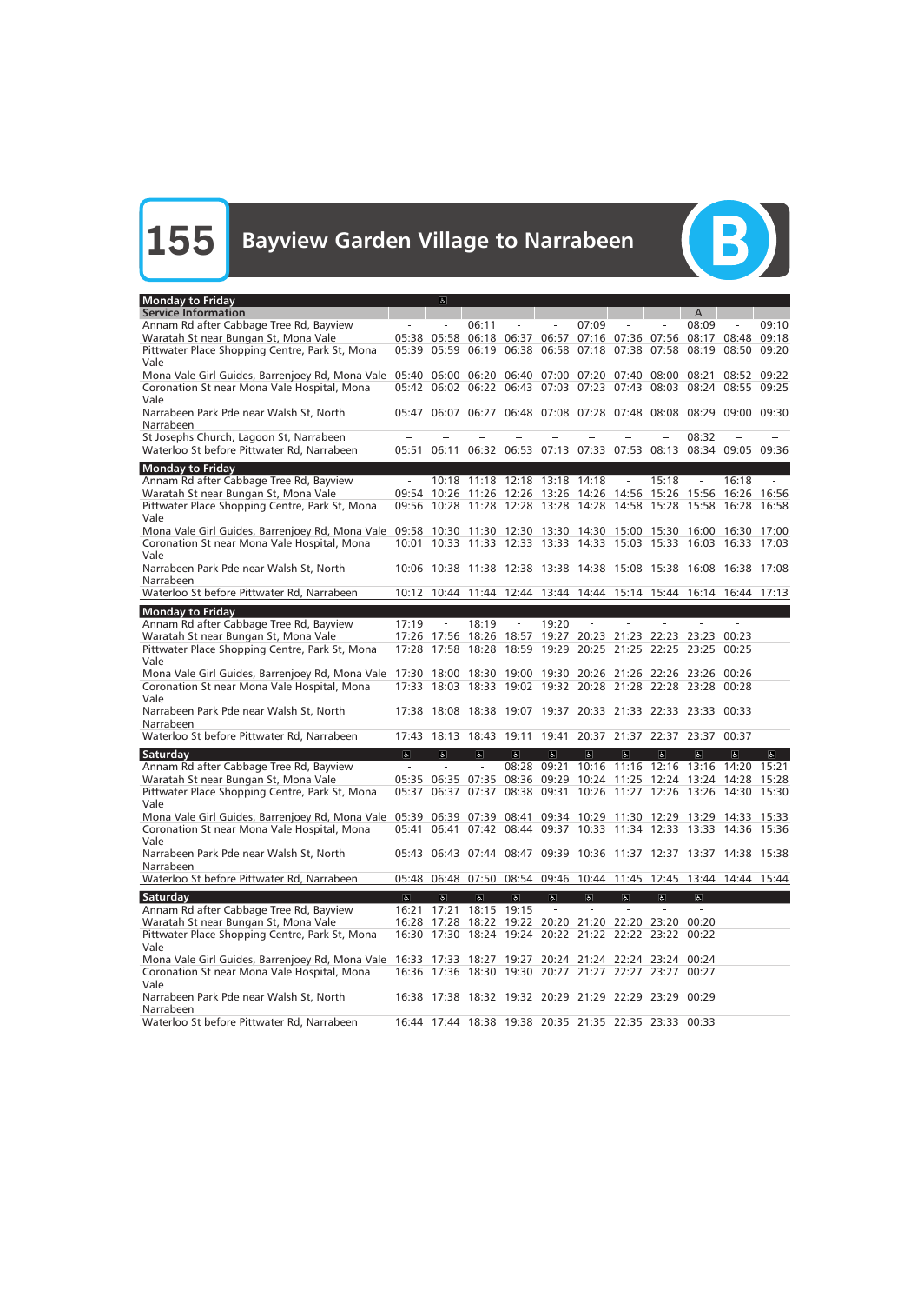

| <b>Monday to Friday</b>                                                                                           |                         | $\sigma$                                                                                                       |                                            |                |                                                       |                            |                                                |                            |                            |             |             |
|-------------------------------------------------------------------------------------------------------------------|-------------------------|----------------------------------------------------------------------------------------------------------------|--------------------------------------------|----------------|-------------------------------------------------------|----------------------------|------------------------------------------------|----------------------------|----------------------------|-------------|-------------|
| <b>Service Information</b>                                                                                        |                         |                                                                                                                |                                            |                |                                                       |                            |                                                |                            | A                          |             |             |
| Annam Rd after Cabbage Tree Rd, Bayview                                                                           |                         | $\overline{a}$                                                                                                 | 06:11                                      |                |                                                       | 07:09                      |                                                |                            | 08:09                      |             | 09:10       |
| Waratah St near Bungan St, Mona Vale                                                                              |                         | 05:38 05:58                                                                                                    |                                            |                | 06:18 06:37 06:57 07:16 07:36 07:56                   |                            |                                                |                            |                            | 08:17 08:48 | 09:18       |
| Pittwater Place Shopping Centre, Park St, Mona                                                                    |                         | 05:39 05:59                                                                                                    | 06:19                                      | 06:38          | 06:58                                                 | 07:18                      | 07:38 07:58                                    |                            | 08:19                      | 08:50       | 09:20       |
| Vale                                                                                                              |                         |                                                                                                                |                                            |                |                                                       |                            |                                                |                            |                            |             |             |
| Mona Vale Girl Guides, Barrenjoey Rd, Mona Vale 05:40 06:00                                                       |                         |                                                                                                                |                                            |                | 06:20 06:40 07:00 07:20 07:40                         |                            |                                                | 08:00                      | 08:21                      | 08:52       | 09:22       |
| Coronation St near Mona Vale Hospital, Mona                                                                       |                         | 05:42 06:02 06:22 06:43 07:03 07:23 07:43 08:03 08:24 08:55 09:25                                              |                                            |                |                                                       |                            |                                                |                            |                            |             |             |
| Vale                                                                                                              |                         |                                                                                                                |                                            |                |                                                       |                            |                                                |                            |                            |             |             |
| Narrabeen Park Pde near Walsh St, North                                                                           |                         | 05:47 06:07 06:27 06:48 07:08 07:28 07:48 08:08 08:29 09:00 09:30                                              |                                            |                |                                                       |                            |                                                |                            |                            |             |             |
| Narrabeen                                                                                                         |                         |                                                                                                                |                                            |                |                                                       |                            |                                                |                            |                            |             |             |
| St Josephs Church, Lagoon St, Narrabeen                                                                           |                         |                                                                                                                |                                            |                |                                                       |                            |                                                |                            | 08:32                      |             |             |
| Waterloo St before Pittwater Rd, Narrabeen                                                                        | 05:51                   | 06:11                                                                                                          |                                            |                | 06:32 06:53 07:13 07:33 07:53 08:13 08:34 09:05 09:36 |                            |                                                |                            |                            |             |             |
| <b>Monday to Friday</b>                                                                                           |                         |                                                                                                                |                                            |                |                                                       |                            |                                                |                            |                            |             |             |
| Annam Rd after Cabbage Tree Rd, Bayview                                                                           | $\equiv$                |                                                                                                                | 10:18 11:18                                |                | 12:18 13:18 14:18                                     |                            |                                                | 15:18                      |                            | 16:18       |             |
| Waratah St near Bungan St, Mona Vale                                                                              |                         | 09:54 10:26                                                                                                    | 11:26                                      | 12:26          | 13:26 14:26 14:56                                     |                            |                                                | 15:26                      | 15:56                      | 16:26       | 16:56       |
| Pittwater Place Shopping Centre, Park St, Mona                                                                    |                         | 09:56 10:28 11:28 12:28 13:28 14:28                                                                            |                                            |                |                                                       |                            | 14:58 15:28                                    |                            |                            | 15:58 16:28 | 16:58       |
| Vale                                                                                                              |                         |                                                                                                                |                                            |                |                                                       |                            |                                                |                            |                            |             |             |
| Mona Vale Girl Guides, Barrenjoey Rd, Mona Vale 09:58                                                             |                         | 10:30 11:30 12:30 13:30 14:30 15:00                                                                            |                                            |                |                                                       |                            |                                                | 15:30                      | 16:00 16:30 17:00          |             |             |
| Coronation St near Mona Vale Hospital, Mona                                                                       | 10:01                   | 10:33 11:33 12:33 13:33 14:33 15:03                                                                            |                                            |                |                                                       |                            |                                                | 15:33 16:03                |                            | 16:33 17:03 |             |
| Vale                                                                                                              |                         |                                                                                                                |                                            |                |                                                       |                            |                                                |                            |                            |             |             |
| Narrabeen Park Pde near Walsh St, North                                                                           |                         | 10:06 10:38 11:38 12:38 13:38 14:38 15:08 15:38 16:08 16:38 17:08                                              |                                            |                |                                                       |                            |                                                |                            |                            |             |             |
| Narrabeen                                                                                                         |                         |                                                                                                                |                                            |                |                                                       |                            |                                                |                            |                            |             |             |
| Waterloo St before Pittwater Rd, Narrabeen                                                                        |                         | 10:12 10:44 11:44 12:44 13:44 14:44 15:14 15:44 16:14 16:44 17:13                                              |                                            |                |                                                       |                            |                                                |                            |                            |             |             |
| <b>Monday to Friday</b>                                                                                           |                         |                                                                                                                |                                            |                |                                                       |                            |                                                |                            |                            |             |             |
| Annam Rd after Cabbage Tree Rd, Bayview                                                                           | 17:19                   | $\overline{\phantom{a}}$                                                                                       | 18:19                                      |                | 19:20                                                 |                            |                                                |                            |                            |             |             |
| Waratah St near Bungan St, Mona Vale                                                                              |                         | 17:26 17:56                                                                                                    | 18:26                                      | 18:57          |                                                       | 19:27 20:23                | 21:23                                          |                            | 22:23 23:23 00:23          |             |             |
| Pittwater Place Shopping Centre, Park St, Mona                                                                    | 17:28                   | 17:58                                                                                                          |                                            |                | 18:28 18:59 19:29 20:25 21:25 22:25 23:25 00:25       |                            |                                                |                            |                            |             |             |
| Vale                                                                                                              |                         |                                                                                                                |                                            |                |                                                       |                            |                                                |                            |                            |             |             |
| Mona Vale Girl Guides, Barrenjoey Rd, Mona Vale 17:30 18:00 18:30 19:00 19:30 20:26 21:26 22:26 23:26 00:26       |                         |                                                                                                                |                                            |                |                                                       |                            |                                                |                            |                            |             |             |
| Coronation St near Mona Vale Hospital, Mona                                                                       | 17:33                   |                                                                                                                |                                            |                | 18:03 18:33 19:02 19:32 20:28 21:28 22:28 23:28 00:28 |                            |                                                |                            |                            |             |             |
| Vale                                                                                                              |                         |                                                                                                                |                                            |                |                                                       |                            |                                                |                            |                            |             |             |
| Narrabeen Park Pde near Walsh St, North                                                                           |                         | 17:38 18:08 18:38 19:07 19:37 20:33 21:33 22:33 23:33 00:33                                                    |                                            |                |                                                       |                            |                                                |                            |                            |             |             |
| Narrabeen                                                                                                         |                         |                                                                                                                |                                            |                |                                                       |                            |                                                |                            |                            |             |             |
| Waterloo St before Pittwater Rd, Narrabeen                                                                        | 17:43                   | 18:13                                                                                                          | 18:43                                      | 19:11          | 19:41                                                 | 20:37                      | 21:37                                          | 22:37                      | 23:37                      | 00:37       |             |
| Saturday                                                                                                          | $\Delta$                | $\sigma$                                                                                                       | $\begin{bmatrix} \mathbf{g} \end{bmatrix}$ | $ {\bf g} $    | $\mathbf{g}$                                          | $\mathbf{g}$               | $\mathbf{g}$                                   | $\sigma$                   | $\alpha$                   | $\alpha$    | $\boxed{2}$ |
| Annam Rd after Cabbage Tree Rd, Bayview                                                                           |                         |                                                                                                                | $\overline{\phantom{a}}$                   | 08:28          | 09:21                                                 | 10:16                      | 11:16                                          | 12:16                      | 13:16                      | 14:20       | 15:21       |
| Waratah St near Bungan St, Mona Vale                                                                              |                         | 05:35 06:35 07:35                                                                                              |                                            |                | 08:36 09:29 10:24 11:25 12:24 13:24 14:28 15:28       |                            |                                                |                            |                            |             |             |
| Pittwater Place Shopping Centre, Park St, Mona                                                                    |                         | 05:37 06:37 07:37 08:38 09:31 10:26 11:27 12:26 13:26 14:30 15:30                                              |                                            |                |                                                       |                            |                                                |                            |                            |             |             |
| Vale                                                                                                              |                         |                                                                                                                |                                            |                |                                                       |                            |                                                |                            |                            |             |             |
| Mona Vale Girl Guides, Barrenjoey Rd, Mona Vale 05:39 06:39 07:39 08:41 09:34 10:29 11:30 12:29 13:29 14:33 15:33 |                         |                                                                                                                |                                            |                |                                                       |                            |                                                |                            |                            |             |             |
| Coronation St near Mona Vale Hospital, Mona                                                                       |                         | 05:41 06:41 07:42 08:44 09:37 10:33 11:34 12:33 13:33 14:36 15:36                                              |                                            |                |                                                       |                            |                                                |                            |                            |             |             |
| Vale                                                                                                              |                         |                                                                                                                |                                            |                |                                                       |                            |                                                |                            |                            |             |             |
| Narrabeen Park Pde near Walsh St, North                                                                           |                         | 05:43 06:43 07:44 08:47 09:39 10:36 11:37 12:37 13:37 14:38 15:38                                              |                                            |                |                                                       |                            |                                                |                            |                            |             |             |
| Narrabeen                                                                                                         |                         |                                                                                                                |                                            |                |                                                       |                            |                                                |                            |                            |             |             |
| Waterloo St before Pittwater Rd, Narrabeen                                                                        |                         | 05:48 06:48 07:50 08:54 09:46 10:44 11:45 12:45 13:44 14:44 15:44                                              |                                            |                |                                                       |                            |                                                |                            |                            |             |             |
|                                                                                                                   |                         |                                                                                                                |                                            |                |                                                       |                            |                                                |                            |                            |             |             |
| Saturday<br>Annam Rd after Cabbage Tree Rd, Bayview                                                               | $\overline{\mathbf{c}}$ | $\overline{a}$<br>16:21 17:21 18:15 19:15                                                                      | $\overline{\mathbf{P}}$                    | $\overline{a}$ | $\overline{d}$                                        | $\overline{6}$<br>$\omega$ | $\overline{\mathbf{c}}$<br>$\bar{\phantom{a}}$ | $\overline{6}$<br>$\equiv$ | $\overline{6}$<br>$\omega$ |             |             |
|                                                                                                                   |                         |                                                                                                                |                                            |                |                                                       |                            |                                                |                            |                            |             |             |
| Waratah St near Bungan St, Mona Vale                                                                              |                         | 16:28 17:28 18:22 19:22 20:20 21:20 22:20 23:20 00:20<br>16:30 17:30 18:24 19:24 20:22 21:22 22:22 23:22 00:22 |                                            |                |                                                       |                            |                                                |                            |                            |             |             |
| Pittwater Place Shopping Centre, Park St, Mona<br>Vale                                                            |                         |                                                                                                                |                                            |                |                                                       |                            |                                                |                            |                            |             |             |
| Mona Vale Girl Guides, Barrenjoey Rd, Mona Vale 16:33 17:33 18:27 19:27 20:24 21:24 22:24 23:24 00:24             |                         |                                                                                                                |                                            |                |                                                       |                            |                                                |                            |                            |             |             |
| Coronation St near Mona Vale Hospital, Mona                                                                       |                         | 16:36 17:36 18:30 19:30 20:27 21:27 22:27 23:27 00:27                                                          |                                            |                |                                                       |                            |                                                |                            |                            |             |             |
| Vale                                                                                                              |                         |                                                                                                                |                                            |                |                                                       |                            |                                                |                            |                            |             |             |
| Narrabeen Park Pde near Walsh St, North                                                                           |                         | 16:38 17:38 18:32 19:32 20:29 21:29 22:29 23:29 00:29                                                          |                                            |                |                                                       |                            |                                                |                            |                            |             |             |
| Narrabeen                                                                                                         |                         |                                                                                                                |                                            |                |                                                       |                            |                                                |                            |                            |             |             |
| Waterloo St before Pittwater Rd, Narrabeen                                                                        |                         | 16:44 17:44 18:38 19:38 20:35 21:35 22:35 23:33 00:33                                                          |                                            |                |                                                       |                            |                                                |                            |                            |             |             |
|                                                                                                                   |                         |                                                                                                                |                                            |                |                                                       |                            |                                                |                            |                            |             |             |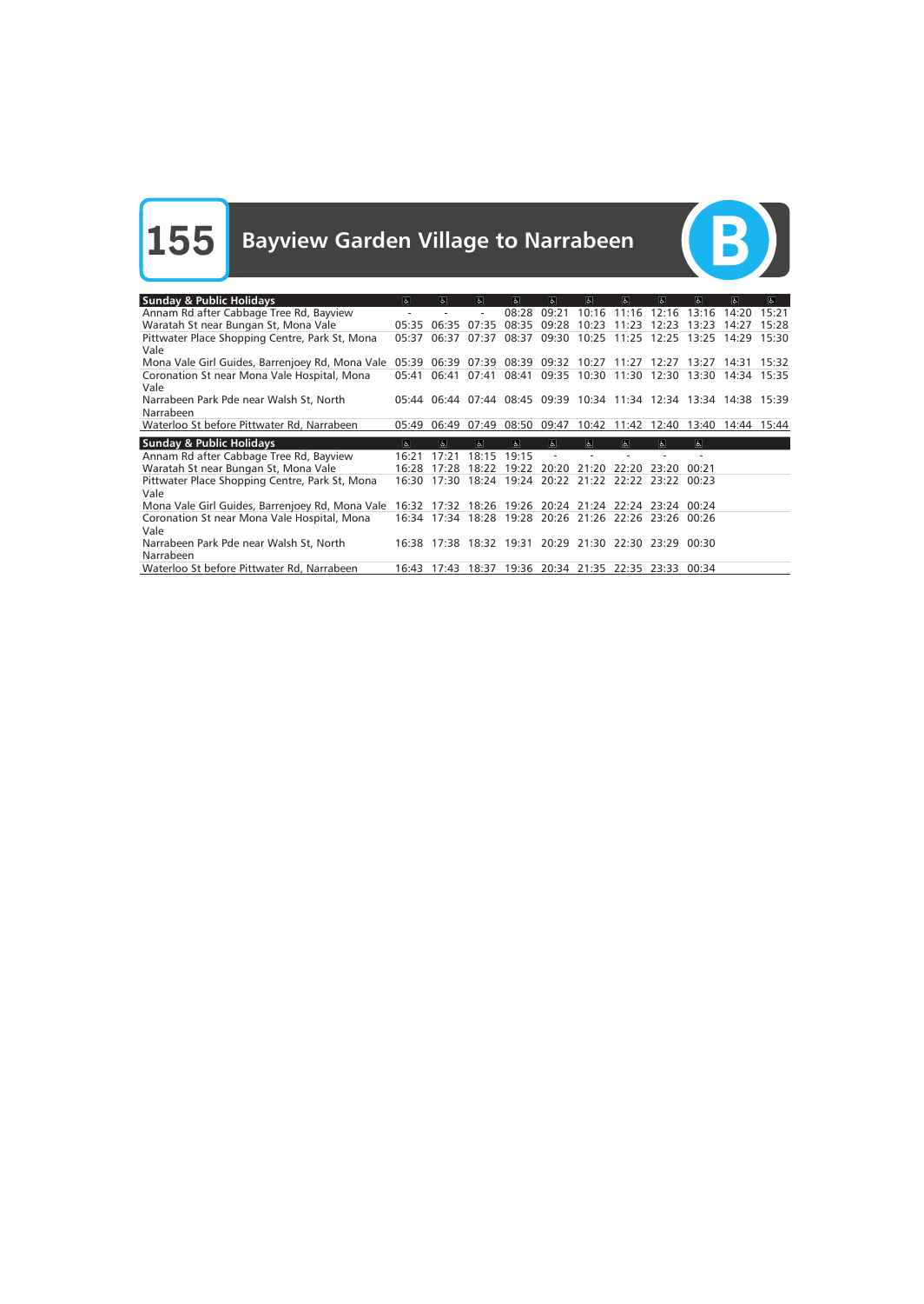$\begin{array}{c} \textbf{(B)} \end{array}$ 

| <b>Sunday &amp; Public Holidays</b>                                            | $\sigma$ | $ \mathbf{F} $ | $ \mathbf{f} \cdot$ | $\overline{a}$ | $\sigma$                                                          | $\sigma$ | $\sigma$    | $\sigma$                | $\overline{a}$ | $\overline{a}$ | $\sigma$ |
|--------------------------------------------------------------------------------|----------|----------------|---------------------|----------------|-------------------------------------------------------------------|----------|-------------|-------------------------|----------------|----------------|----------|
| Annam Rd after Cabbage Tree Rd, Bayview                                        |          |                |                     | 08:28          | 09:21                                                             | 10:16    | 11:16       | 12:16                   | 13:16          | 14:20          | 15:21    |
| Waratah St near Bungan St, Mona Vale                                           | 05:35    | 06:35          | 07:35               | 08:35          | 09:28                                                             | 10:23    | 11.23       | 12.23                   | 13:23          | 14.27          | 15:28    |
| Pittwater Place Shopping Centre, Park St, Mona<br>Vale                         | 05:37    | 06:37          | 07:37               | 08:37          | 09:30                                                             | 10:25    | 11:25       | 12:25                   | 13:25          | 14:29          | 15:30    |
| Mona Vale Girl Guides, Barrenjoey Rd, Mona Vale                                | 05:39    | 06:39          | 07:39               |                | 08:39 09:32 10:27 11:27                                           |          |             | 12:27                   | 13:27          | 14:31          | 15:32    |
| Coronation St near Mona Vale Hospital, Mona<br>Vale                            | 05:41    | 06:41          | 07:41               | 08:41          | 09:35                                                             | 10:30    | 11:30       | 12:30                   | 13:30          | 14:34          | 15:35    |
| Narrabeen Park Pde near Walsh St, North<br>Narrabeen                           |          |                |                     |                | 05:44 06:44 07:44 08:45 09:39 10:34 11:34 12:34 13:34 14:38 15:39 |          |             |                         |                |                |          |
| Waterloo St before Pittwater Rd, Narrabeen                                     | 05:49    | 06:49          | 07:49               |                | 08:50 09:47                                                       |          | 10:42 11:42 | 12:40                   | 13:40          | 14:44          | 15:44    |
|                                                                                |          |                |                     |                |                                                                   |          |             |                         |                |                |          |
|                                                                                | $\sigma$ | ਛ              | W                   | $\overline{d}$ | $\alpha$                                                          | $\Delta$ | ਨ           | $\overline{\mathbf{b}}$ | la l           |                |          |
| <b>Sunday &amp; Public Holidays</b><br>Annam Rd after Cabbage Tree Rd, Bayview | 16:21    | 17:21          | 18:15               | 19:15          |                                                                   |          |             |                         |                |                |          |
| Waratah St near Bungan St, Mona Vale                                           | 16:28    | 17:28          | 18:22               | 19:22          | 20:20                                                             | 21:20    | 22:20       | 23.20                   | 00.21          |                |          |
| Pittwater Place Shopping Centre, Park St, Mona<br>Vale                         | 16:30    | 17:30          | 18:24               | 19:24          | 20:22                                                             | 21:22    | 22:22       | 23:22                   | 00:23          |                |          |
| Mona Vale Girl Guides, Barrenjoey Rd, Mona Vale                                | 16:32    | 17:32          | 18:26               | 19:26          | 20:24 21:24 22:24 23:24 00:24                                     |          |             |                         |                |                |          |
| Coronation St near Mona Vale Hospital, Mona<br>Vale                            |          | 16:34 17:34    | 18:28               |                | 19:28 20:26 21:26 22:26                                           |          |             | 23:26 00:26             |                |                |          |
| Narrabeen Park Pde near Walsh St, North<br>Narrabeen                           |          |                |                     |                | 16:38 17:38 18:32 19:31 20:29 21:30 22:30 23:29 00:30             |          |             |                         |                |                |          |